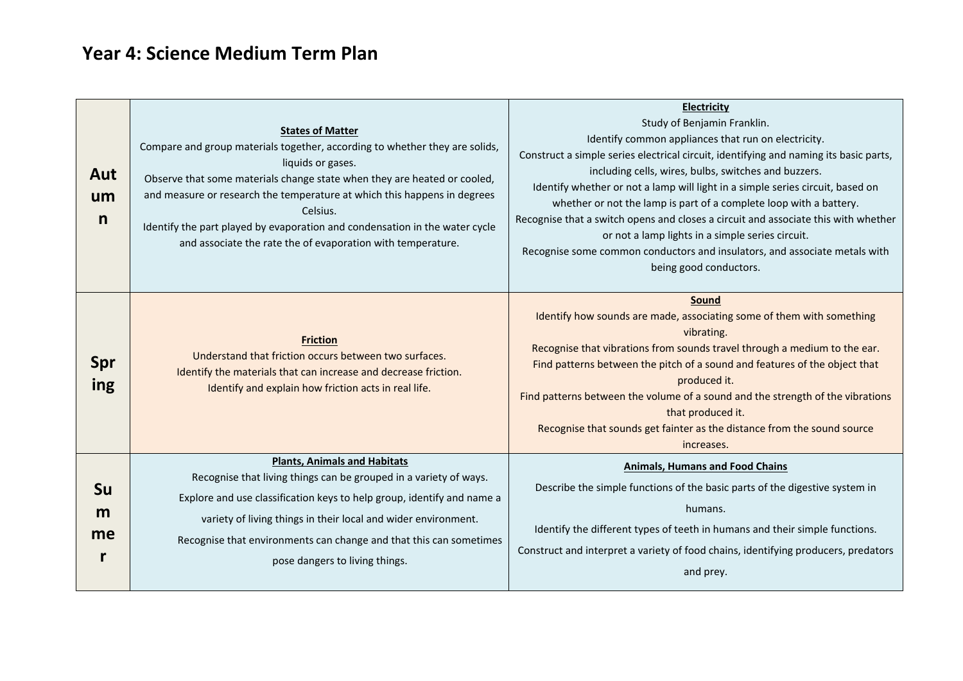## **Year 4: Science Medium Term Plan**

| Aut<br>um<br>n       | <b>States of Matter</b><br>Compare and group materials together, according to whether they are solids,<br>liquids or gases.<br>Observe that some materials change state when they are heated or cooled,<br>and measure or research the temperature at which this happens in degrees<br>Celsius.<br>Identify the part played by evaporation and condensation in the water cycle<br>and associate the rate the of evaporation with temperature. | <b>Electricity</b><br>Study of Benjamin Franklin.<br>Identify common appliances that run on electricity.<br>Construct a simple series electrical circuit, identifying and naming its basic parts,<br>including cells, wires, bulbs, switches and buzzers.<br>Identify whether or not a lamp will light in a simple series circuit, based on<br>whether or not the lamp is part of a complete loop with a battery.<br>Recognise that a switch opens and closes a circuit and associate this with whether<br>or not a lamp lights in a simple series circuit.<br>Recognise some common conductors and insulators, and associate metals with<br>being good conductors. |
|----------------------|-----------------------------------------------------------------------------------------------------------------------------------------------------------------------------------------------------------------------------------------------------------------------------------------------------------------------------------------------------------------------------------------------------------------------------------------------|---------------------------------------------------------------------------------------------------------------------------------------------------------------------------------------------------------------------------------------------------------------------------------------------------------------------------------------------------------------------------------------------------------------------------------------------------------------------------------------------------------------------------------------------------------------------------------------------------------------------------------------------------------------------|
| Spr<br>ing           | <b>Friction</b><br>Understand that friction occurs between two surfaces.<br>Identify the materials that can increase and decrease friction.<br>Identify and explain how friction acts in real life.                                                                                                                                                                                                                                           | <b>Sound</b><br>Identify how sounds are made, associating some of them with something<br>vibrating.<br>Recognise that vibrations from sounds travel through a medium to the ear.<br>Find patterns between the pitch of a sound and features of the object that<br>produced it.<br>Find patterns between the volume of a sound and the strength of the vibrations<br>that produced it.<br>Recognise that sounds get fainter as the distance from the sound source<br>increases.                                                                                                                                                                                      |
| <b>Su</b><br>m<br>me | <b>Plants, Animals and Habitats</b><br>Recognise that living things can be grouped in a variety of ways.<br>Explore and use classification keys to help group, identify and name a<br>variety of living things in their local and wider environment.<br>Recognise that environments can change and that this can sometimes<br>pose dangers to living things.                                                                                  | <b>Animals, Humans and Food Chains</b><br>Describe the simple functions of the basic parts of the digestive system in<br>humans.<br>Identify the different types of teeth in humans and their simple functions.<br>Construct and interpret a variety of food chains, identifying producers, predators<br>and prey.                                                                                                                                                                                                                                                                                                                                                  |